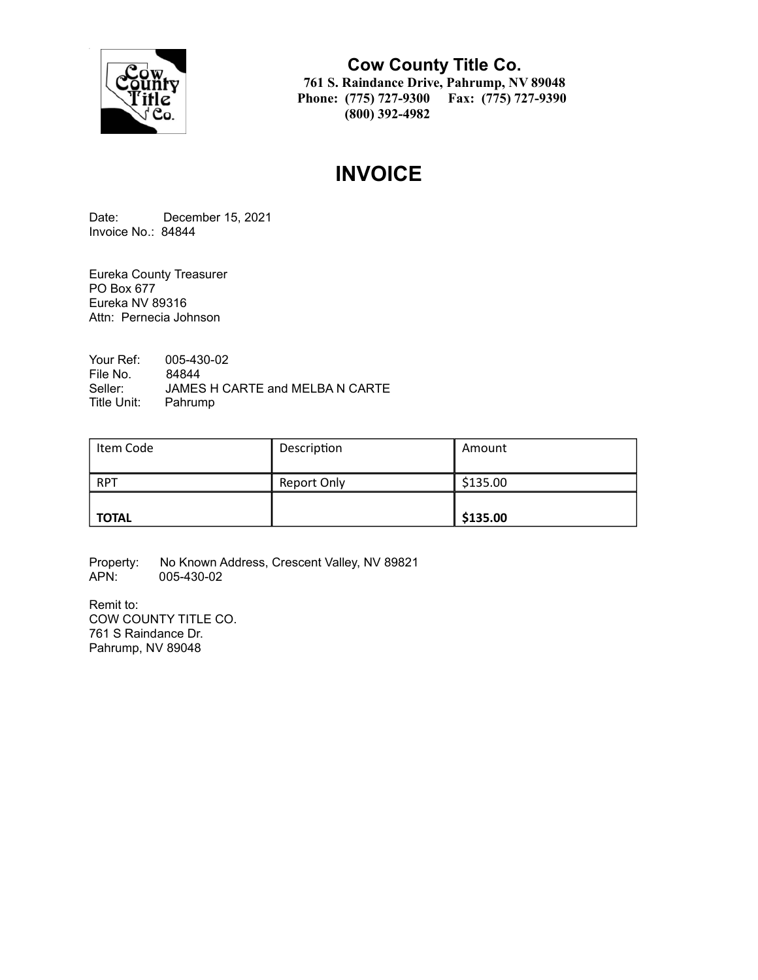

**Cow County Title Co. 761 S. Raindance Drive, Pahrump, NV 89048 Phone: (775) 727-9300 Fax: (775) 727-9390 (800) 392-4982**

# **INVOICE**

Date: December 15, 2021 Invoice No.: 84844

Eureka County Treasurer PO Box 677 Eureka NV 89316 Attn: Pernecia Johnson

Your Ref: 005-430-02 File No. 84844<br>Seller: JAMES JAMES H CARTE and MELBA N CARTE Title Unit: Pahrump

| Item Code    | Description | Amount   |
|--------------|-------------|----------|
| <b>RPT</b>   | Report Only | \$135.00 |
| <b>TOTAL</b> |             | \$135.00 |

Property: No Known Address, Crescent Valley, NV 89821<br>APN: 005-430-02 005-430-02

Remit to: COW COUNTY TITLE CO. 761 S Raindance Dr. Pahrump, NV 89048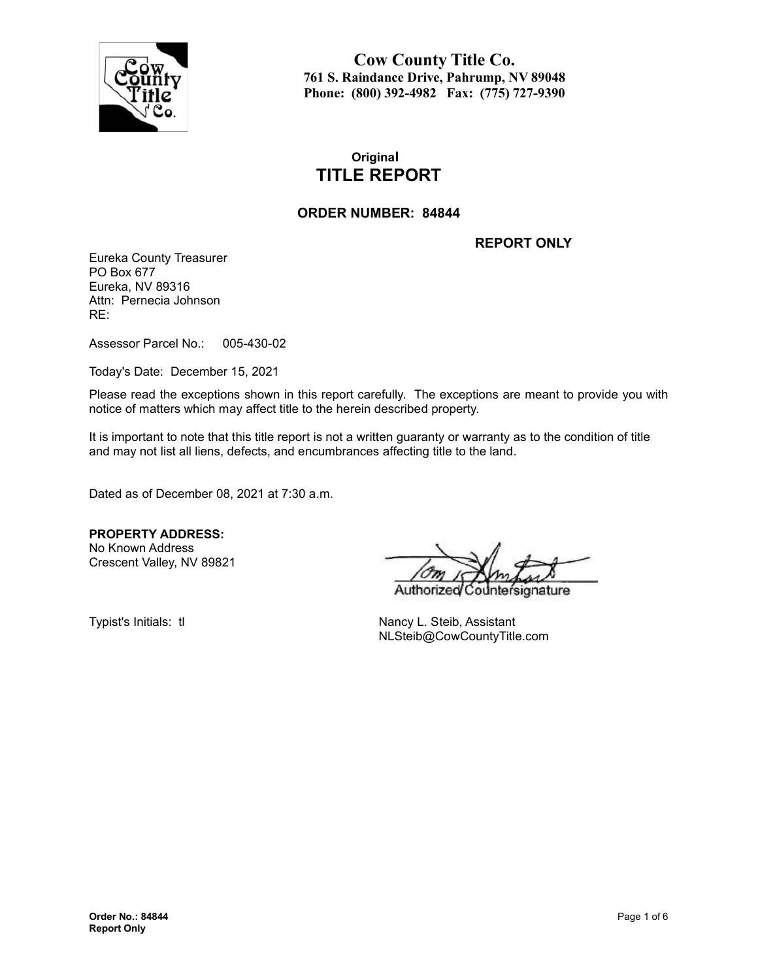

**Cow County Title Co. 761 S. Raindance Drive, Pahrump, NV 89048 Phone: (800) 392-4982 Fax: (775) 727-9390**

# **Original TITLE REPORT**

### **ORDER NUMBER: 84844**

**REPORT ONLY**

Eureka County Treasurer PO Box 677 Eureka, NV 89316 Attn: Pernecia Johnson RE:

Assessor Parcel No.: 005-430-02

Today's Date: December 15, 2021

Please read the exceptions shown in this report carefully. The exceptions are meant to provide you with notice of matters which may affect title to the herein described property.

It is important to note that this title report is not a written guaranty or warranty as to the condition of title and may not list all liens, defects, and encumbrances affecting title to the land.

Dated as of December 08, 2021 at 7:30 a.m.

**PROPERTY ADDRESS:** No Known Address

Crescent Valley, NV 89821

Authorize nature

Typist's Initials: tl Nancy L. Steib, Assistant NLSteib@CowCountyTitle.com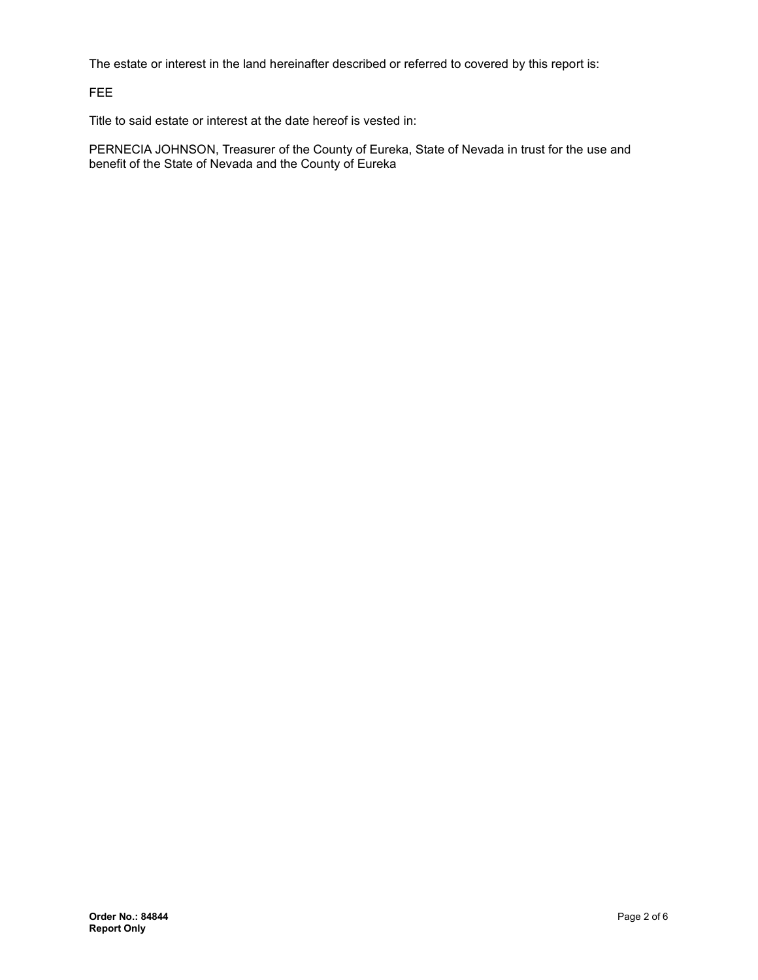The estate or interest in the land hereinafter described or referred to covered by this report is:

FEE

Title to said estate or interest at the date hereof is vested in:

PERNECIA JOHNSON, Treasurer of the County of Eureka, State of Nevada in trust for the use and benefit of the State of Nevada and the County of Eureka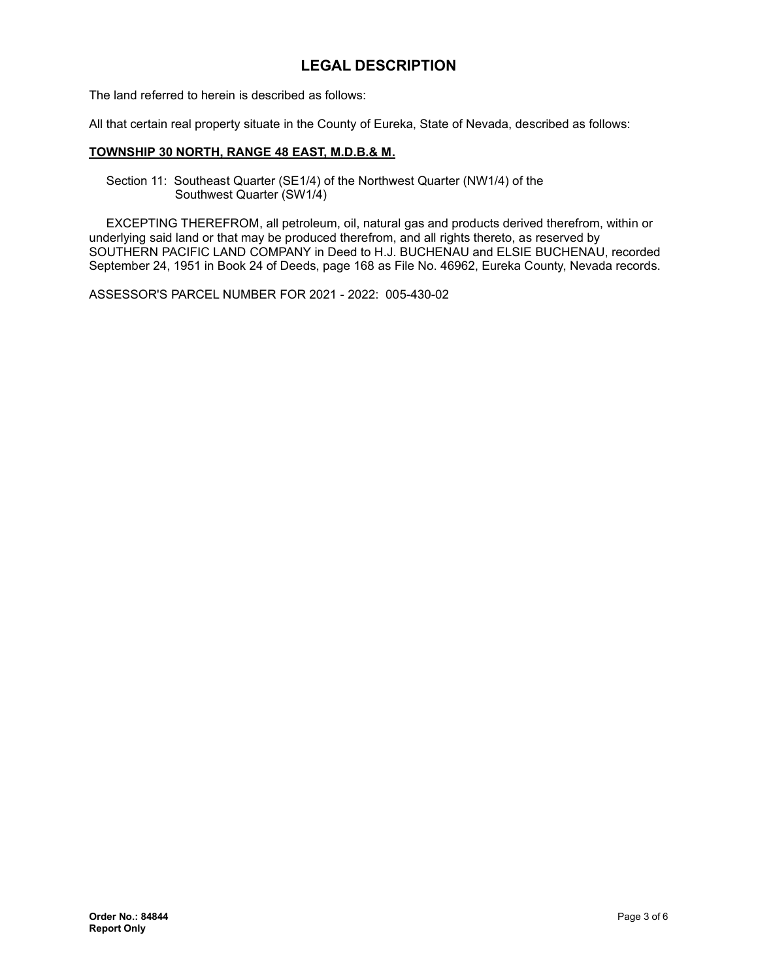# **LEGAL DESCRIPTION**

The land referred to herein is described as follows:

All that certain real property situate in the County of Eureka, State of Nevada, described as follows:

#### **TOWNSHIP 30 NORTH, RANGE 48 EAST, M.D.B.& M.**

Section 11: Southeast Quarter (SE1/4) of the Northwest Quarter (NW1/4) of the Southwest Quarter (SW1/4)

EXCEPTING THEREFROM, all petroleum, oil, natural gas and products derived therefrom, within or underlying said land or that may be produced therefrom, and all rights thereto, as reserved by SOUTHERN PACIFIC LAND COMPANY in Deed to H.J. BUCHENAU and ELSIE BUCHENAU, recorded September 24, 1951 in Book 24 of Deeds, page 168 as File No. 46962, Eureka County, Nevada records.

ASSESSOR'S PARCEL NUMBER FOR 2021 - 2022: 005-430-02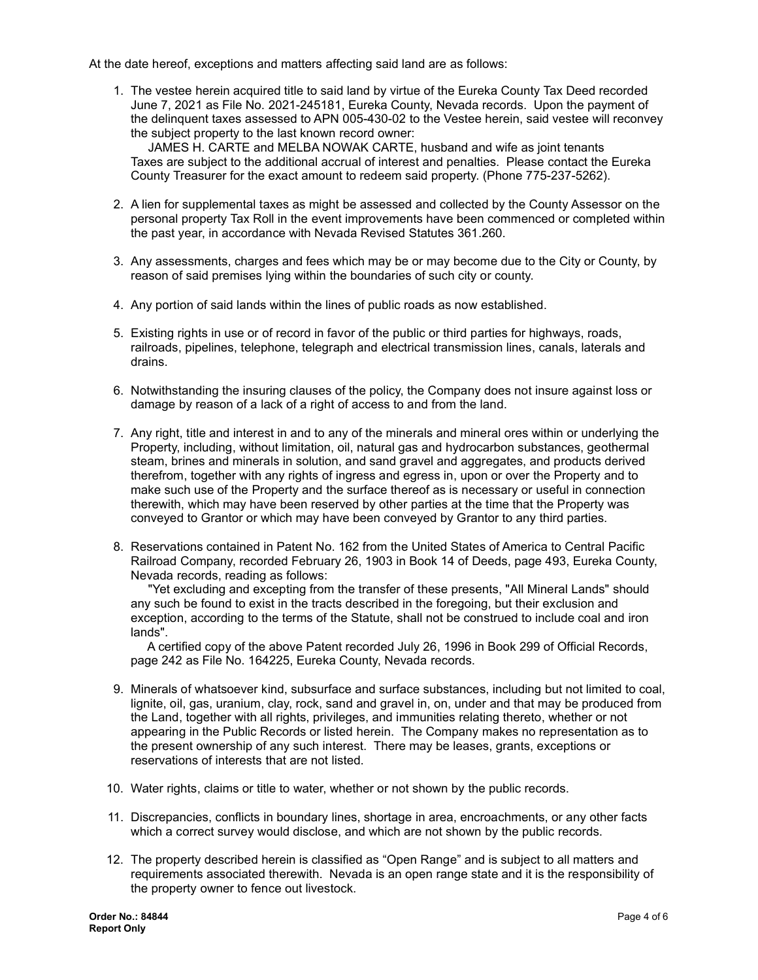At the date hereof, exceptions and matters affecting said land are as follows:

1. The vestee herein acquired title to said land by virtue of the Eureka County Tax Deed recorded June 7, 2021 as File No. 2021-245181, Eureka County, Nevada records. Upon the payment of the delinquent taxes assessed to APN 005-430-02 to the Vestee herein, said vestee will reconvey the subject property to the last known record owner:

JAMES H. CARTE and MELBA NOWAK CARTE, husband and wife as joint tenants Taxes are subject to the additional accrual of interest and penalties. Please contact the Eureka County Treasurer for the exact amount to redeem said property. (Phone 775-237-5262).

- 2. A lien for supplemental taxes as might be assessed and collected by the County Assessor on the personal property Tax Roll in the event improvements have been commenced or completed within the past year, in accordance with Nevada Revised Statutes 361.260.
- 3. Any assessments, charges and fees which may be or may become due to the City or County, by reason of said premises lying within the boundaries of such city or county.
- 4. Any portion of said lands within the lines of public roads as now established.
- 5. Existing rights in use or of record in favor of the public or third parties for highways, roads, railroads, pipelines, telephone, telegraph and electrical transmission lines, canals, laterals and drains.
- 6. Notwithstanding the insuring clauses of the policy, the Company does not insure against loss or damage by reason of a lack of a right of access to and from the land.
- 7. Any right, title and interest in and to any of the minerals and mineral ores within or underlying the Property, including, without limitation, oil, natural gas and hydrocarbon substances, geothermal steam, brines and minerals in solution, and sand gravel and aggregates, and products derived therefrom, together with any rights of ingress and egress in, upon or over the Property and to make such use of the Property and the surface thereof as is necessary or useful in connection therewith, which may have been reserved by other parties at the time that the Property was conveyed to Grantor or which may have been conveyed by Grantor to any third parties.
- 8. Reservations contained in Patent No. 162 from the United States of America to Central Pacific Railroad Company, recorded February 26, 1903 in Book 14 of Deeds, page 493, Eureka County, Nevada records, reading as follows:

"Yet excluding and excepting from the transfer of these presents, "All Mineral Lands" should any such be found to exist in the tracts described in the foregoing, but their exclusion and exception, according to the terms of the Statute, shall not be construed to include coal and iron lands".

A certified copy of the above Patent recorded July 26, 1996 in Book 299 of Official Records, page 242 as File No. 164225, Eureka County, Nevada records.

- 9. Minerals of whatsoever kind, subsurface and surface substances, including but not limited to coal, lignite, oil, gas, uranium, clay, rock, sand and gravel in, on, under and that may be produced from the Land, together with all rights, privileges, and immunities relating thereto, whether or not appearing in the Public Records or listed herein. The Company makes no representation as to the present ownership of any such interest. There may be leases, grants, exceptions or reservations of interests that are not listed.
- 10. Water rights, claims or title to water, whether or not shown by the public records.
- 11. Discrepancies, conflicts in boundary lines, shortage in area, encroachments, or any other facts which a correct survey would disclose, and which are not shown by the public records.
- 12. The property described herein is classified as "Open Range" and is subject to all matters and requirements associated therewith. Nevada is an open range state and it is the responsibility of the property owner to fence out livestock.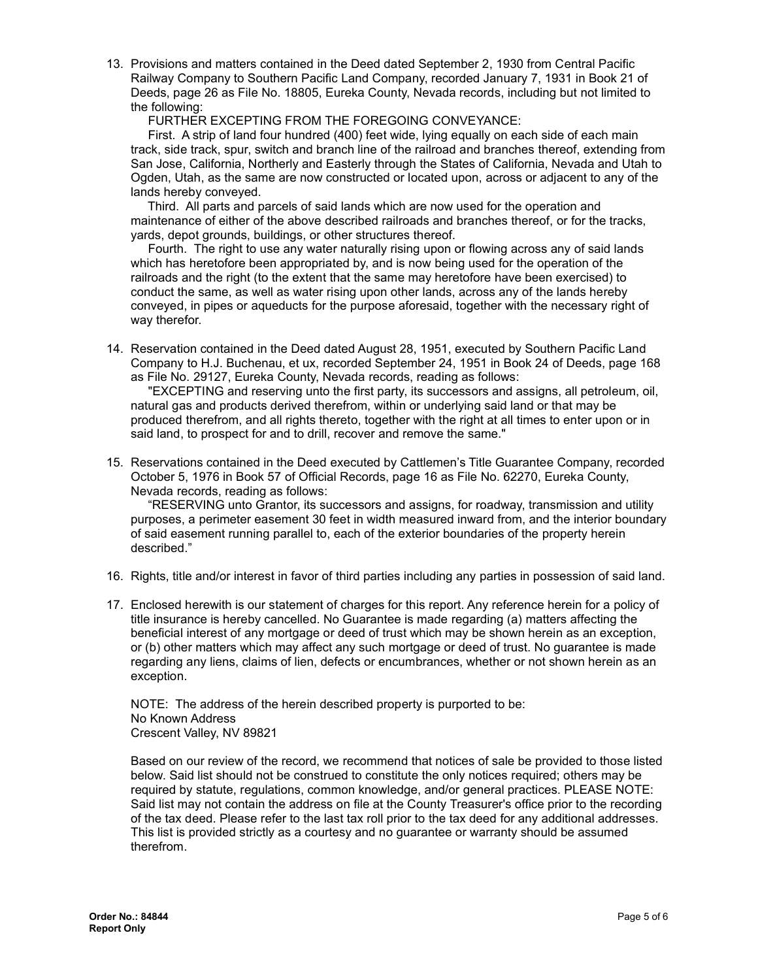13. Provisions and matters contained in the Deed dated September 2, 1930 from Central Pacific Railway Company to Southern Pacific Land Company, recorded January 7, 1931 in Book 21 of Deeds, page 26 as File No. 18805, Eureka County, Nevada records, including but not limited to the following:

FURTHER EXCEPTING FROM THE FOREGOING CONVEYANCE:

First. A strip of land four hundred (400) feet wide, lying equally on each side of each main track, side track, spur, switch and branch line of the railroad and branches thereof, extending from San Jose, California, Northerly and Easterly through the States of California, Nevada and Utah to Ogden, Utah, as the same are now constructed or located upon, across or adjacent to any of the lands hereby conveyed.

Third. All parts and parcels of said lands which are now used for the operation and maintenance of either of the above described railroads and branches thereof, or for the tracks, yards, depot grounds, buildings, or other structures thereof.

Fourth. The right to use any water naturally rising upon or flowing across any of said lands which has heretofore been appropriated by, and is now being used for the operation of the railroads and the right (to the extent that the same may heretofore have been exercised) to conduct the same, as well as water rising upon other lands, across any of the lands hereby conveyed, in pipes or aqueducts for the purpose aforesaid, together with the necessary right of way therefor.

14. Reservation contained in the Deed dated August 28, 1951, executed by Southern Pacific Land Company to H.J. Buchenau, et ux, recorded September 24, 1951 in Book 24 of Deeds, page 168 as File No. 29127, Eureka County, Nevada records, reading as follows:

"EXCEPTING and reserving unto the first party, its successors and assigns, all petroleum, oil, natural gas and products derived therefrom, within or underlying said land or that may be produced therefrom, and all rights thereto, together with the right at all times to enter upon or in said land, to prospect for and to drill, recover and remove the same."

15. Reservations contained in the Deed executed by Cattlemen's Title Guarantee Company, recorded October 5, 1976 in Book 57 of Official Records, page 16 as File No. 62270, Eureka County, Nevada records, reading as follows:

"RESERVING unto Grantor, its successors and assigns, for roadway, transmission and utility purposes, a perimeter easement 30 feet in width measured inward from, and the interior boundary of said easement running parallel to, each of the exterior boundaries of the property herein described."

- 16. Rights, title and/or interest in favor of third parties including any parties in possession of said land.
- 17. Enclosed herewith is our statement of charges for this report. Any reference herein for a policy of title insurance is hereby cancelled. No Guarantee is made regarding (a) matters affecting the beneficial interest of any mortgage or deed of trust which may be shown herein as an exception, or (b) other matters which may affect any such mortgage or deed of trust. No guarantee is made regarding any liens, claims of lien, defects or encumbrances, whether or not shown herein as an exception.

NOTE: The address of the herein described property is purported to be: No Known Address Crescent Valley, NV 89821

Based on our review of the record, we recommend that notices of sale be provided to those listed below. Said list should not be construed to constitute the only notices required; others may be required by statute, regulations, common knowledge, and/or general practices. PLEASE NOTE: Said list may not contain the address on file at the County Treasurer's office prior to the recording of the tax deed. Please refer to the last tax roll prior to the tax deed for any additional addresses. This list is provided strictly as a courtesy and no guarantee or warranty should be assumed therefrom.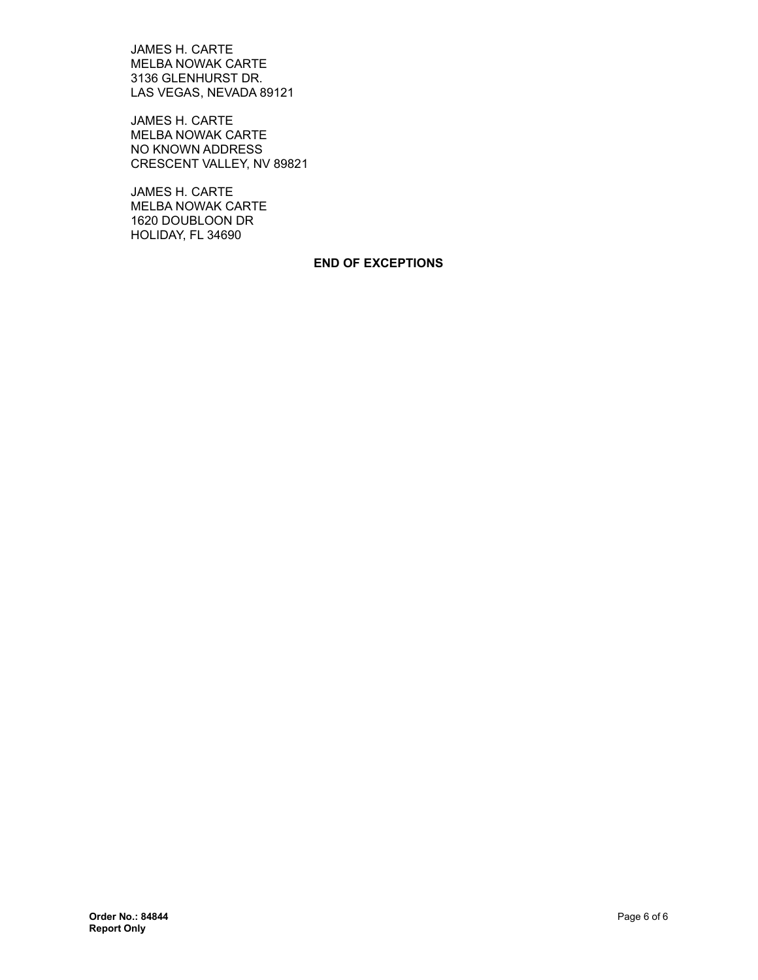JAMES H. CARTE MELBA NOWAK CARTE 3136 GLENHURST DR. LAS VEGAS, NEVADA 89121

JAMES H. CARTE MELBA NOWAK CARTE NO KNOWN ADDRESS CRESCENT VALLEY, NV 89821

JAMES H. CARTE MELBA NOWAK CARTE 1620 DOUBLOON DR HOLIDAY, FL 34690

#### **END OF EXCEPTIONS**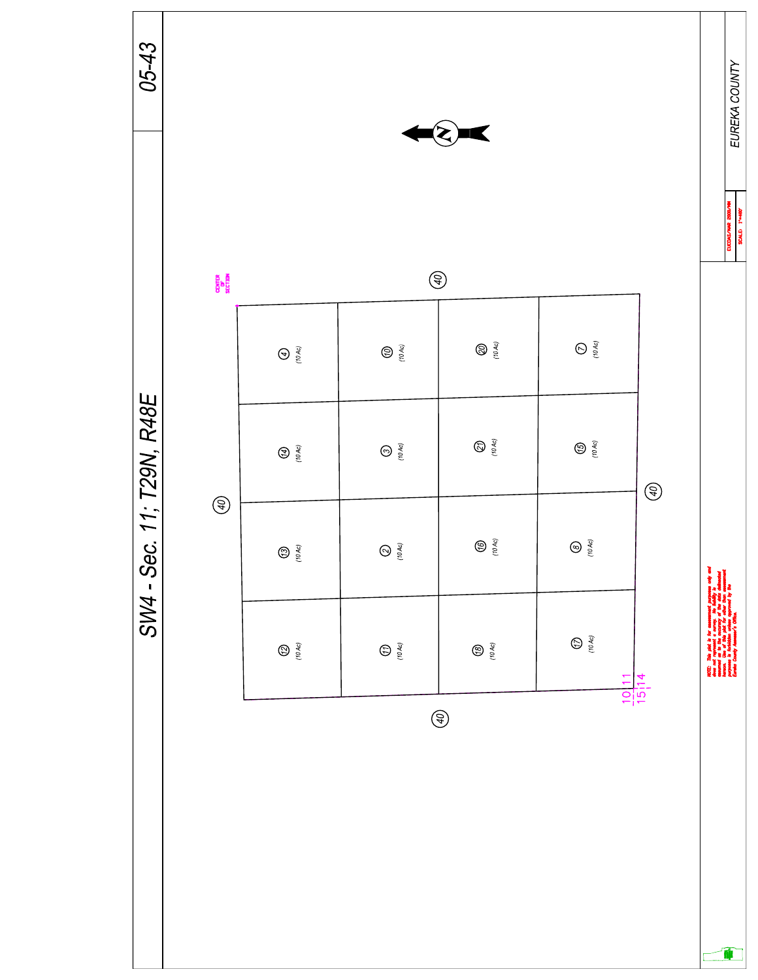